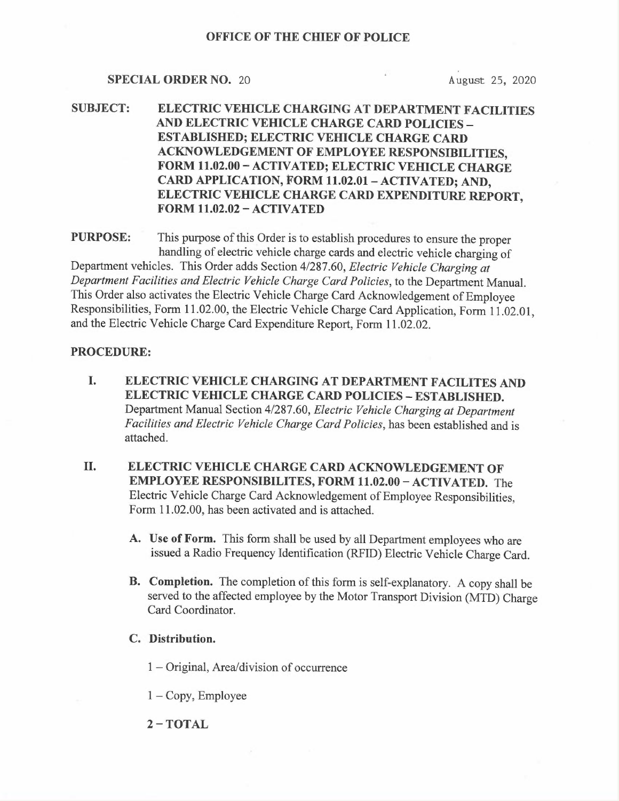#### SPECIAL ORDER NO. 20 August 25, 2020

SUBJECT: ELECTRIC VEHICLE CHARGING AT DEPARTMENT FACILITIES AND ELECTRIC VEHICLE CHARGE CARD POLICIES — ESTABLISHED; ELECTRIC VEHICLE CHARGE CARD <sup>A</sup>CKNOWLEDGEMENT OF EMPLOYEE RESPONSIBILITIES, <sup>F</sup>ORM 11.02.00 —ACTIVATED; ELECTRIC VEHICLE CHARGE CARD APPLICATION, FORM 11.02.01 - ACTIVATED; AND, <sup>E</sup>LECTRIC VEHICLE CHARGE CARD EXPENDITURE REPORT, FORM 11.02.02 —ACTIVATED

<sup>P</sup>URPOSE: This purpose of this Order is to establish procedures to ensure the proper <sup>h</sup>andling of electric vehicle charge cards and electric vehicle charging of <sup>D</sup>epartment vehicles. This Order adds Section 4/287.60, Electric Vehicle Charging at <sup>D</sup>epartment Facilities and Electric Vehicle Charge Card Policies, to the Department Manual. <sup>T</sup>his Order also activates the Electric Vehicle Charge Card Acknowledgement of Employee <sup>R</sup>esponsibilities, Form 11.02.00, the Electric Vehicle Charge Card Application, Form 11.02.01, <sup>a</sup>nd the Electric Vehicle Charge Card Expenditure Report, Form 11.02.02.

### PROCEDURE:

- <sup>I</sup>. ELECTRIC VEHICLE CHARGING AT DEPARTMENT FACILITES AND ELECTRIC VEHICLE CHARGE CARD POLICIES —ESTABLISHED. <sup>D</sup>epartment Manual Section 4/287.60, Electric Vehicle Charging at Department <sup>F</sup>acilities and Electric Vehicle Charge Card Policies, has been established and is attached.
- <sup>I</sup>I. ELECTRIC VEHICLE CHARGE CARD ACKNOWLEDGEMENT OF <sup>E</sup>MPLOYEE RESPONSIBILITES, FORM 11.02.00 —ACTIVATED. The <sup>E</sup>lectric Vehicle Charge Card Acknowledgement of Employee Responsibilities, Form 11.02.00, has been activated and is attached.
	- <sup>A</sup>. Use of Form. This form shall be used by all Department employees who are <sup>i</sup>ssued a Radio Frequency Identification (RFID) Electric Vehicle Charge Card.
	- B. Completion. The completion of this form is self-explanatory. A copy shall be <sup>s</sup>erved to the affected employee by the Motor Transport Division (MTD) Charge Card Coordinator.
	- C. Distribution.
		- 1 Original, Area/division of occurrence
		- 1 —Copy, Employee
		- 2—TOTAL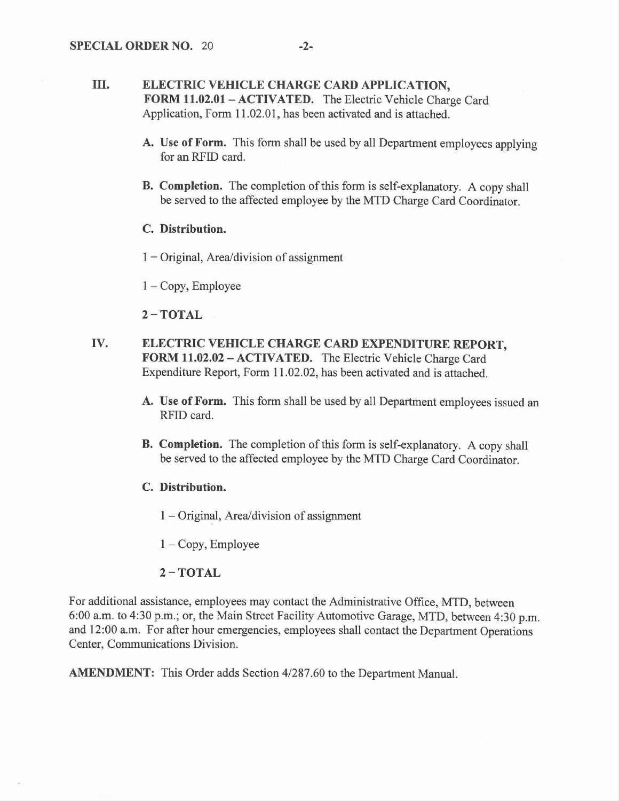### III. ELECTRIC VEHICLE CHARGE CARD APPLICATION, <sup>F</sup>ORM 11.02.01— ACTIVATED. The Electric Vehicle Charge Card <sup>A</sup>pplication, Form 11.02.01, has been activated and is attached.

- A. Use of Form. This form shall be used by all Department employees applying for an RFID card.
- <sup>B</sup>. Completion. The completion of this form is self-explanatory. A copy shall be served to the affected employee by the MTD Charge Card Coordinator.

#### C. Distribution.

 $1 -$ Original, Area/division of assignment

 $1 - Copy$ , Employee

### 2—TOTAL

- <sup>I</sup>V. ELECTRIC VEHICLE CHARGE CARD EXPENDITURE REPORT, <sup>F</sup>ORM 11.02.02 —ACTIVATED. The Electric Vehicle Charge Card <sup>E</sup>xpenditure Report, Form 11.02.02, has been activated and is attached.
	- <sup>A</sup>. Use of Form. This form shall be used by all Department employees issued an RFID card.
	- <sup>B</sup>. Completion. The completion of this form is self-explanatory. A copy shall be served to the affected employee by the MTD Charge Card Coordinator.
	- C. Distribution.
		- 1 Original, Area/division of assignment

 $1 - Copy$ , Employee

#### 2—TOTAL

<sup>F</sup>or additional assistance, employees may contact the Administrative Office, MTD, between <sup>6</sup>:00 a.m. to 4:30 p.m.; or, the Main Street Facility Automotive Garage, MTD, between 4:30 p.m. and 12:00 a.m. For after hour emergencies, employees shall contact the Department Operations Center, Communications Division.

AMENDMENT: This Order adds Section 4/287.60 to the Department Manual.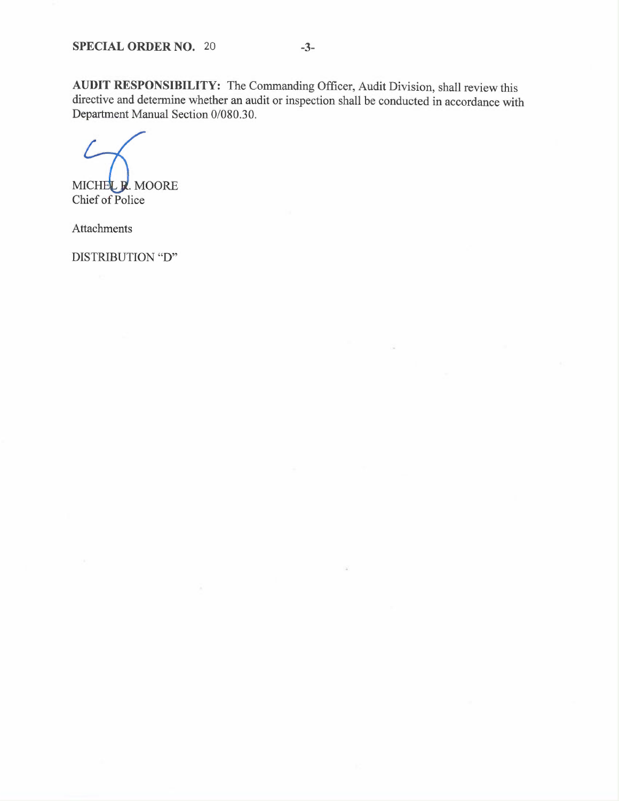AUDIT RESPONSIBILITY: The Commanding Officer, Audit Division, shall review this directive and determine whether an audit or inspection shall be conducted in accordance with Department Manual Section 0/080.30.

MICHEL R. MOORE Chief of Police

Attachments

DISTRIBUTION "D"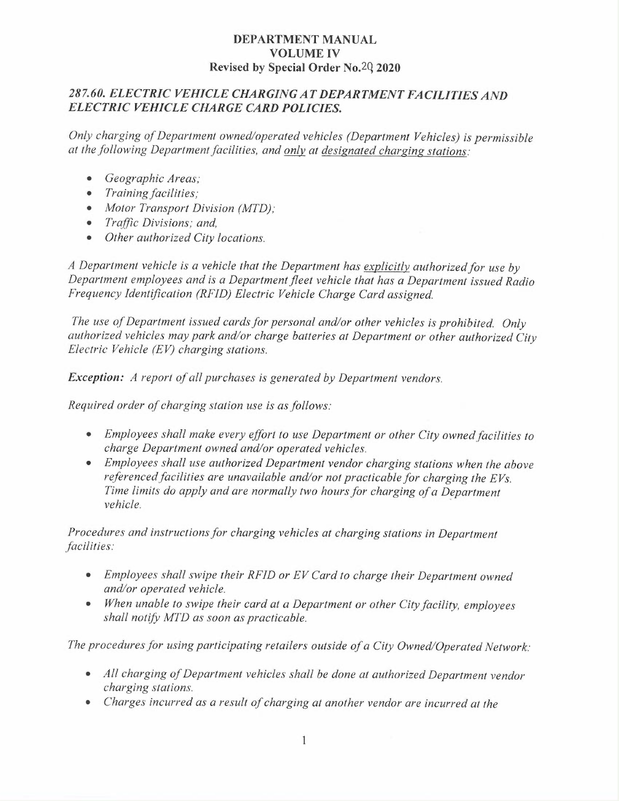### DEPARTMENT MANUAL VOLUME IV <sup>R</sup>evised by Special Order No.2Q 2020

# 287.60. ELECTRIC VEHICLE CHARGING AT DEPARTMENT FACILITIES AND ELECTRIC VEHICLE CHARGE CARD POLICIES.

<sup>O</sup>nly charging of Department owned/operated vehicles (Department Vehicles) is permissible at the following Department facilities, and only at designated charging stations:

- Geographic Areas;
- Training facilities;
- Motor Transport Division (MTD);
- Traffic Divisions; and,
- $\bullet$ Other authorized City locations.

<sup>A</sup> Department vehicle is a vehicle that the Department has explicitly authorized for use by <sup>D</sup>epartment employees and is a Department fleet vehicle that has a Department issued Radio <sup>F</sup>requency Identification (RFID) Electric Vehicle Charge Card assigned.

<sup>T</sup>he use of Department issued cards for personal and/or other vehicles is prohibited. Only <sup>a</sup>uthorized vehicles may park and/or charge batteries at Department or other authorized City <sup>E</sup>lectric Vehicle (EV) charging stations.

<sup>E</sup>xception: A report of all purchases is generated by Department vendors.

<sup>R</sup>equired order of charging station use is as follows:

- Employees shall make every effort to use Department or other City owned facilities to <sup>c</sup>harge Department owned and/or operated vehicles.
- <sup>E</sup>mployees shall use authorized Department vendor charging stations when the above referenced facilities are unavailable and/or not practicable for charging the  $EVs$ . Time limits do apply and are normally two hours for charging of a Department <sup>v</sup>ehicle.

<sup>P</sup>rocedures and instructions for charging vehicles at charging stations in Department facilities:

- <sup>E</sup>mployees shall swipe their RFID or EV Card to charge their Department owned <sup>a</sup>nd/or operated vehicle.
- When unable to swipe their card at a Department or other City facility, employees <sup>s</sup>hall notify MTD as soon as practicable.

<sup>T</sup>he procedures for using participating retailers outside of a City Owned/Operated Network:

- All charging of Department vehicles shall be done at authorized Department vendor <sup>c</sup>harging stations.
- Charges incurred as a result of charging at another vendor are incurred at the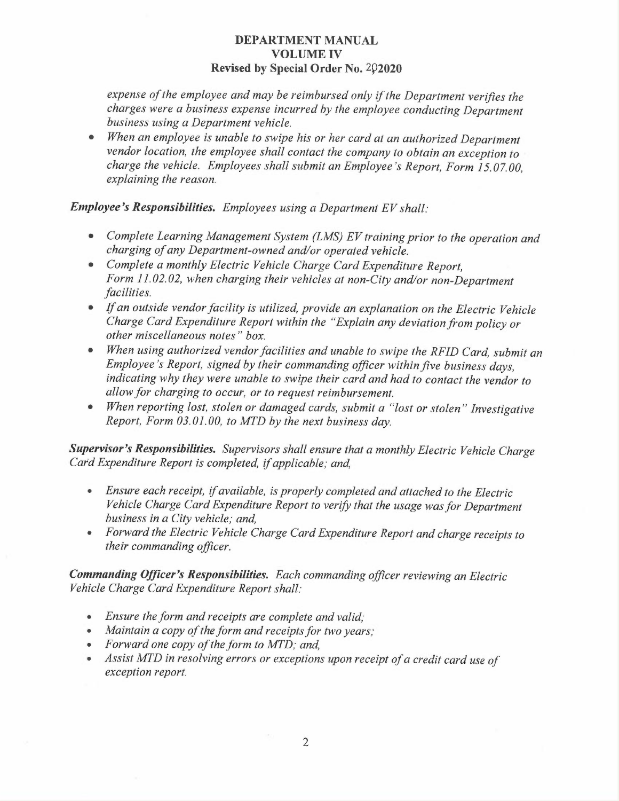### DEPARTMENT MANUAL VOLUME IV Revised by Special Order No. 202020

<sup>e</sup>xpense of the employee and may be reimbursed only if the Department verifies the <sup>c</sup>harges were a business expense incurred by the employee conducting Department business using a Department vehicle.

When an employee is unable to swipe his or her card at an authorized Department  $\bullet$ <sup>v</sup>endor location, the employee shall contact the company to obtain an exception to <sup>c</sup>harge the vehicle. Employees shall submit an Employee's Report, Form 15.07.00, <sup>e</sup>xplaining the reason.

### <sup>E</sup>mployee's Responsibilities. Employees using a Department EV shall:

- Complete Learning Management System (LMS) EV training prior to the operation and <sup>c</sup>harging of any Department-owned and/or operated vehicle.
- Complete a monthly Electric Vehicle Charge Card Expenditure Report, <sup>F</sup>orm 11.02.02, when charging their vehicles at non-City and/or non-Department facilities.
- If an outside vendor facility is utilized, provide an explanation on the Electric Vehicle <sup>C</sup>harge Card Expenditure Report within the "Explain any deviation from policy or <sup>o</sup>ther miscellaneous notes" box.
- When using authorized vendor facilities and unable to swipe the RFID Card, submit an <sup>E</sup>mployee's Report, signed by their commanding officer within five business days, indicating why they were unable to swipe their card and had to contact the vendor to <sup>a</sup>llow for charging to occur, or to request reimbursement.
- •When reporting lost, stolen or damaged cards, submit a "lost or stolen" Investigative <sup>R</sup>eport, Form 03.01.00, to MTD by the next business day.

Supervisor's Responsibilities. Supervisors shall ensure that a monthly Electric Vehicle Charge <sup>C</sup>ard Expenditure Report is completed, if applicable; and,

- Ensure each receipt, if available, is properly completed and attached to the Electric <sup>V</sup>ehicle Charge Card Expenditure Report to verify that the usage was for Department business in a City vehicle; and,
- Forward the Electric Vehicle Charge Card Expenditure Report and charge receipts to <sup>t</sup>heir commanding officer.

<sup>C</sup>ommanding Officer's Responsibilities. Each commanding officer reviewing an Electric <sup>V</sup>ehicle Charge Card Expenditure Report shall:

- Ensure the form and receipts are complete and valid;
- •Maintain a copy of the form and receipts for two years;
- Forward one copy of the form to MTD; and,
- • Assist MTD in resolving errors or exceptions upon receipt of a credit card use of exception report.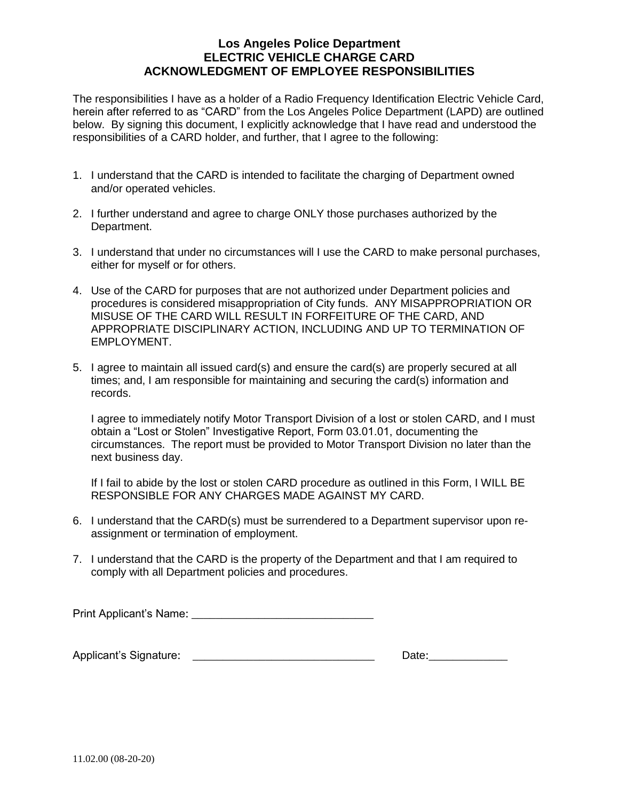### **Los Angeles Police Department ELECTRIC VEHICLE CHARGE CARD ACKNOWLEDGMENT OF EMPLOYEE RESPONSIBILITIES**

The responsibilities I have as a holder of a Radio Frequency Identification Electric Vehicle Card, herein after referred to as "CARD" from the Los Angeles Police Department (LAPD) are outlined below. By signing this document, I explicitly acknowledge that I have read and understood the responsibilities of a CARD holder, and further, that I agree to the following:

- 1. I understand that the CARD is intended to facilitate the charging of Department owned and/or operated vehicles.
- 2. I further understand and agree to charge ONLY those purchases authorized by the Department.
- 3. I understand that under no circumstances will I use the CARD to make personal purchases, either for myself or for others.
- 4. Use of the CARD for purposes that are not authorized under Department policies and procedures is considered misappropriation of City funds. ANY MISAPPROPRIATION OR MISUSE OF THE CARD WILL RESULT IN FORFEITURE OF THE CARD, AND APPROPRIATE DISCIPLINARY ACTION, INCLUDING AND UP TO TERMINATION OF EMPLOYMENT.
- 5. I agree to maintain all issued card(s) and ensure the card(s) are properly secured at all times; and, I am responsible for maintaining and securing the card(s) information and records.

I agree to immediately notify Motor Transport Division of a lost or stolen CARD, and I must obtain a "Lost or Stolen" Investigative Report, Form 03.01.01, documenting the circumstances. The report must be provided to Motor Transport Division no later than the next business day.

If I fail to abide by the lost or stolen CARD procedure as outlined in this Form, I WILL BE RESPONSIBLE FOR ANY CHARGES MADE AGAINST MY CARD.

- 6. I understand that the CARD(s) must be surrendered to a Department supervisor upon reassignment or termination of employment.
- 7. I understand that the CARD is the property of the Department and that I am required to comply with all Department policies and procedures.

Print Applicant's Name: **Example 20** 

| Applicant's Signature: |  |  |
|------------------------|--|--|
|                        |  |  |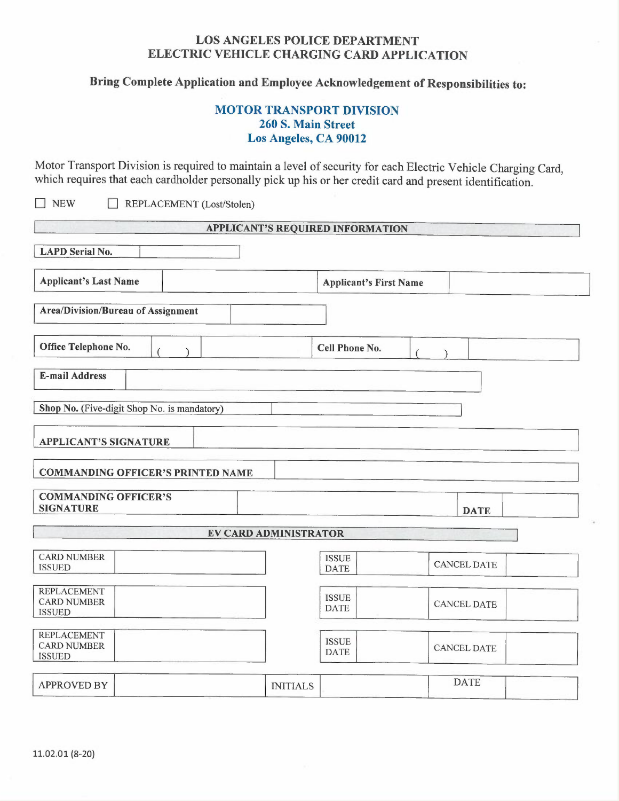# LOS ANGELES POLICE DEPARTMENT ELECTRIC VEHICLE CHARGING CARD APPLICATION

<sup>B</sup>ring Complete Application and Employee Acknowledgement of Responsibilities to:

# MOTOR TRANSPORT DIVISION 260 S. Main Street Los Angeles, CA 90012

<sup>M</sup>otor Transport Division is required to maintain a level of security for each Electric Vehicle Charging Card, which requires that each cardholder personally pick up his or her credit card and present identification.

❑ NEW ❑ REPLACEMENT (Lost/Stolen)

|                                                           | <b>APPLICANT'S REQUIRED INFORMATION</b> |                    |
|-----------------------------------------------------------|-----------------------------------------|--------------------|
| <b>LAPD</b> Serial No.                                    |                                         |                    |
| <b>Applicant's Last Name</b>                              | <b>Applicant's First Name</b>           |                    |
| <b>Area/Division/Bureau of Assignment</b>                 |                                         |                    |
| Office Telephone No.                                      | Cell Phone No.                          |                    |
| <b>E-mail Address</b>                                     |                                         |                    |
| Shop No. (Five-digit Shop No. is mandatory)               |                                         |                    |
| <b>APPLICANT'S SIGNATURE</b>                              |                                         |                    |
| <b>COMMANDING OFFICER'S PRINTED NAME</b>                  |                                         |                    |
| <b>COMMANDING OFFICER'S</b><br><b>SIGNATURE</b>           |                                         | <b>DATE</b>        |
|                                                           | <b>EV CARD ADMINISTRATOR</b>            |                    |
| <b>CARD NUMBER</b><br><b>ISSUED</b>                       | <b>ISSUE</b><br><b>DATE</b>             | <b>CANCEL DATE</b> |
| <b>REPLACEMENT</b><br><b>CARD NUMBER</b><br><b>ISSUED</b> | <b>ISSUE</b><br><b>DATE</b>             | <b>CANCEL DATE</b> |
| <b>REPLACEMENT</b><br><b>CARD NUMBER</b><br><b>ISSUED</b> | <b>ISSUE</b><br><b>DATE</b>             | <b>CANCEL DATE</b> |
| <b>APPROVED BY</b>                                        | <b>INITIALS</b>                         | <b>DATE</b>        |